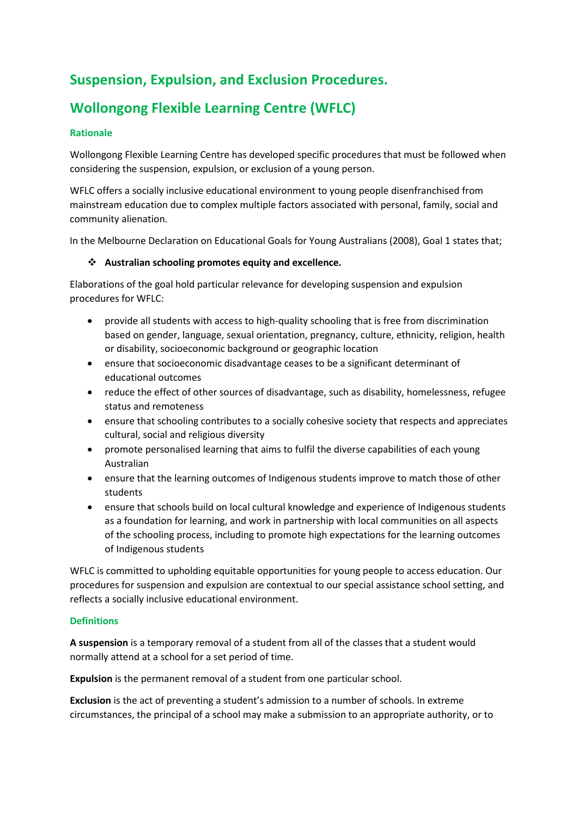# **Suspension, Expulsion, and Exclusion Procedures.**

# **Wollongong Flexible Learning Centre (WFLC)**

## **Rationale**

Wollongong Flexible Learning Centre has developed specific procedures that must be followed when considering the suspension, expulsion, or exclusion of a young person.

WFLC offers a socially inclusive educational environment to young people disenfranchised from mainstream education due to complex multiple factors associated with personal, family, social and community alienation.

In the Melbourne Declaration on Educational Goals for Young Australians (2008), Goal 1 states that;

## **Australian schooling promotes equity and excellence.**

Elaborations of the goal hold particular relevance for developing suspension and expulsion procedures for WFLC:

- provide all students with access to high-quality schooling that is free from discrimination based on gender, language, sexual orientation, pregnancy, culture, ethnicity, religion, health or disability, socioeconomic background or geographic location
- ensure that socioeconomic disadvantage ceases to be a significant determinant of educational outcomes
- reduce the effect of other sources of disadvantage, such as disability, homelessness, refugee status and remoteness
- ensure that schooling contributes to a socially cohesive society that respects and appreciates cultural, social and religious diversity
- promote personalised learning that aims to fulfil the diverse capabilities of each young Australian
- ensure that the learning outcomes of Indigenous students improve to match those of other students
- ensure that schools build on local cultural knowledge and experience of Indigenous students as a foundation for learning, and work in partnership with local communities on all aspects of the schooling process, including to promote high expectations for the learning outcomes of Indigenous students

WFLC is committed to upholding equitable opportunities for young people to access education. Our procedures for suspension and expulsion are contextual to our special assistance school setting, and reflects a socially inclusive educational environment.

#### **Definitions**

**A suspension** is a temporary removal of a student from all of the classes that a student would normally attend at a school for a set period of time.

**Expulsion** is the permanent removal of a student from one particular school.

**Exclusion** is the act of preventing a student's admission to a number of schools. In extreme circumstances, the principal of a school may make a submission to an appropriate authority, or to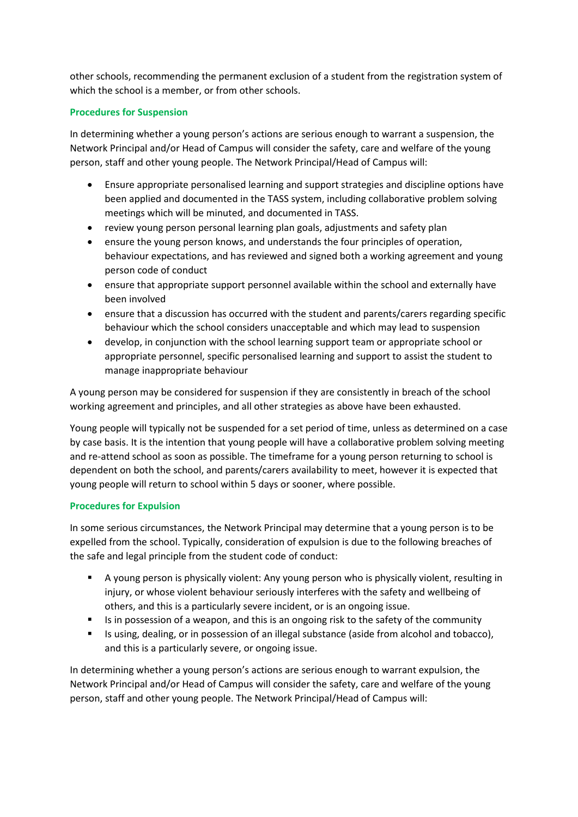other schools, recommending the permanent exclusion of a student from the registration system of which the school is a member, or from other schools.

## **Procedures for Suspension**

In determining whether a young person's actions are serious enough to warrant a suspension, the Network Principal and/or Head of Campus will consider the safety, care and welfare of the young person, staff and other young people. The Network Principal/Head of Campus will:

- Ensure appropriate personalised learning and support strategies and discipline options have been applied and documented in the TASS system, including collaborative problem solving meetings which will be minuted, and documented in TASS.
- review young person personal learning plan goals, adjustments and safety plan
- ensure the young person knows, and understands the four principles of operation, behaviour expectations, and has reviewed and signed both a working agreement and young person code of conduct
- ensure that appropriate support personnel available within the school and externally have been involved
- ensure that a discussion has occurred with the student and parents/carers regarding specific behaviour which the school considers unacceptable and which may lead to suspension
- develop, in conjunction with the school learning support team or appropriate school or appropriate personnel, specific personalised learning and support to assist the student to manage inappropriate behaviour

A young person may be considered for suspension if they are consistently in breach of the school working agreement and principles, and all other strategies as above have been exhausted.

Young people will typically not be suspended for a set period of time, unless as determined on a case by case basis. It is the intention that young people will have a collaborative problem solving meeting and re-attend school as soon as possible. The timeframe for a young person returning to school is dependent on both the school, and parents/carers availability to meet, however it is expected that young people will return to school within 5 days or sooner, where possible.

## **Procedures for Expulsion**

In some serious circumstances, the Network Principal may determine that a young person is to be expelled from the school. Typically, consideration of expulsion is due to the following breaches of the safe and legal principle from the student code of conduct:

- A young person is physically violent: Any young person who is physically violent, resulting in injury, or whose violent behaviour seriously interferes with the safety and wellbeing of others, and this is a particularly severe incident, or is an ongoing issue.
- Is in possession of a weapon, and this is an ongoing risk to the safety of the community
- Is using, dealing, or in possession of an illegal substance (aside from alcohol and tobacco), and this is a particularly severe, or ongoing issue.

In determining whether a young person's actions are serious enough to warrant expulsion, the Network Principal and/or Head of Campus will consider the safety, care and welfare of the young person, staff and other young people. The Network Principal/Head of Campus will: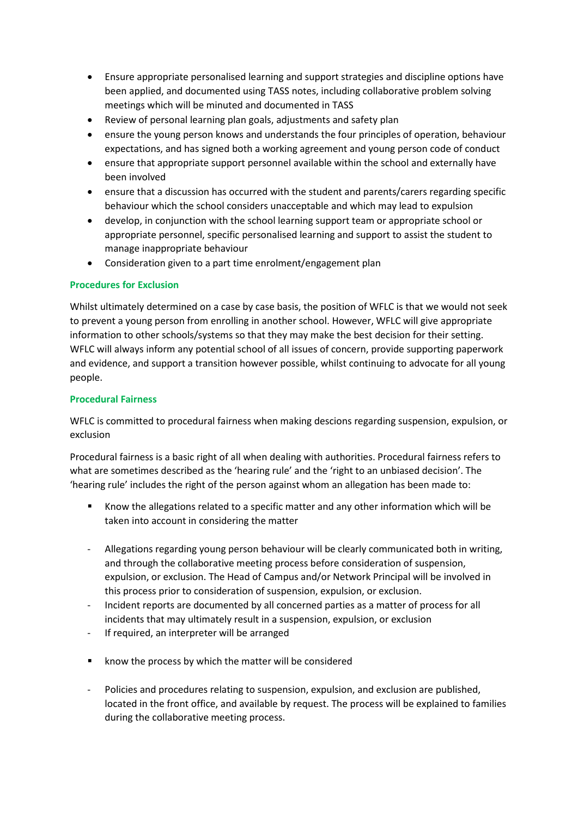- Ensure appropriate personalised learning and support strategies and discipline options have been applied, and documented using TASS notes, including collaborative problem solving meetings which will be minuted and documented in TASS
- Review of personal learning plan goals, adjustments and safety plan
- ensure the young person knows and understands the four principles of operation, behaviour expectations, and has signed both a working agreement and young person code of conduct
- ensure that appropriate support personnel available within the school and externally have been involved
- ensure that a discussion has occurred with the student and parents/carers regarding specific behaviour which the school considers unacceptable and which may lead to expulsion
- develop, in conjunction with the school learning support team or appropriate school or appropriate personnel, specific personalised learning and support to assist the student to manage inappropriate behaviour
- Consideration given to a part time enrolment/engagement plan

### **Procedures for Exclusion**

Whilst ultimately determined on a case by case basis, the position of WFLC is that we would not seek to prevent a young person from enrolling in another school. However, WFLC will give appropriate information to other schools/systems so that they may make the best decision for their setting. WFLC will always inform any potential school of all issues of concern, provide supporting paperwork and evidence, and support a transition however possible, whilst continuing to advocate for all young people.

### **Procedural Fairness**

WFLC is committed to procedural fairness when making descions regarding suspension, expulsion, or exclusion

Procedural fairness is a basic right of all when dealing with authorities. Procedural fairness refers to what are sometimes described as the 'hearing rule' and the 'right to an unbiased decision'. The 'hearing rule' includes the right of the person against whom an allegation has been made to:

- Know the allegations related to a specific matter and any other information which will be taken into account in considering the matter
- Allegations regarding young person behaviour will be clearly communicated both in writing, and through the collaborative meeting process before consideration of suspension, expulsion, or exclusion. The Head of Campus and/or Network Principal will be involved in this process prior to consideration of suspension, expulsion, or exclusion.
- Incident reports are documented by all concerned parties as a matter of process for all incidents that may ultimately result in a suspension, expulsion, or exclusion
- If required, an interpreter will be arranged
- **EXECT** know the process by which the matter will be considered
- Policies and procedures relating to suspension, expulsion, and exclusion are published, located in the front office, and available by request. The process will be explained to families during the collaborative meeting process.